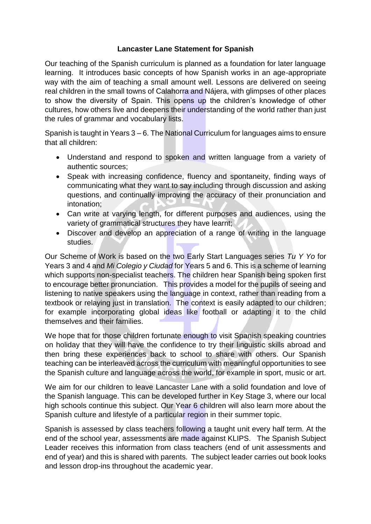## **Lancaster Lane Statement for Spanish**

Our teaching of the Spanish curriculum is planned as a foundation for later language learning. It introduces basic concepts of how Spanish works in an age-appropriate way with the aim of teaching a small amount well. Lessons are delivered on seeing real children in the small towns of Calahorra and Nájera, with glimpses of other places to show the diversity of Spain. This opens up the children's knowledge of other cultures, how others live and deepens their understanding of the world rather than just the rules of grammar and vocabulary lists.

Spanish is taught in Years 3 – 6. The National Curriculum for languages aims to ensure that all children:

- Understand and respond to spoken and written language from a variety of authentic sources;
- Speak with increasing confidence, fluency and spontaneity, finding ways of communicating what they want to say including through discussion and asking questions, and continually improving the accuracy of their pronunciation and intonation;
- Can write at varying length, for different purposes and audiences, using the variety of grammatical structures they have learnt;
- Discover and develop an appreciation of a range of writing in the language studies.

Our Scheme of Work is based on the two Early Start Languages series *Tu Y Yo* for Years 3 and 4 and *Mi Colegio y Ciudad* for Years 5 and 6. This is a scheme of learning which supports non-specialist teachers. The children hear Spanish being spoken first to encourage better pronunciation. This provides a model for the pupils of seeing and listening to native speakers using the language in context, rather than reading from a textbook or relaying just in translation. The context is easily adapted to our children; for example incorporating global ideas like football or adapting it to the child themselves and their families.

We hope that for those children fortunate enough to visit Spanish speaking countries on holiday that they will have the confidence to try their linguistic skills abroad and then bring these experiences back to school to share with others. Our Spanish teaching can be interleaved across the curriculum with meaningful opportunities to see the Spanish culture and language across the world, for example in sport, music or art.

We aim for our children to leave Lancaster Lane with a solid foundation and love of the Spanish language. This can be developed further in Key Stage 3, where our local high schools continue this subject. Our Year 6 children will also learn more about the Spanish culture and lifestyle of a particular region in their summer topic.

Spanish is assessed by class teachers following a taught unit every half term. At the end of the school year, assessments are made against KLIPS. The Spanish Subject Leader receives this information from class teachers (end of unit assessments and end of year) and this is shared with parents. The subject leader carries out book looks and lesson drop-ins throughout the academic year.